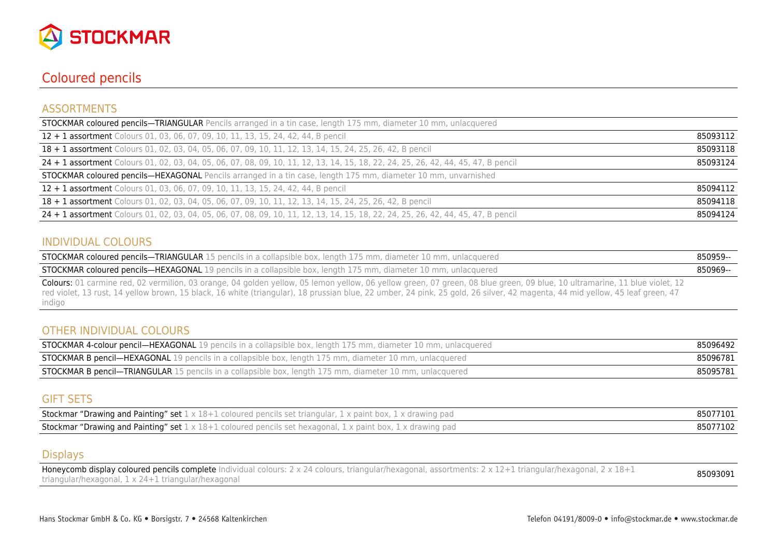

## Coloured pencils

#### ASSORTMENTS

| <b>STOCKMAR coloured pencils-TRIANGULAR</b> Pencils arranged in a tin case, length 175 mm, diameter 10 mm, unlacquered             |          |
|------------------------------------------------------------------------------------------------------------------------------------|----------|
| 12 + 1 assortment Colours 01, 03, 06, 07, 09, 10, 11, 13, 15, 24, 42, 44, B pencil                                                 | 85093112 |
| 18 + 1 assortment Colours 01, 02, 03, 04, 05, 06, 07, 09, 10, 11, 12, 13, 14, 15, 24, 25, 26, 42, B pencil                         | 85093118 |
| 24 + 1 assortment Colours 01, 02, 03, 04, 05, 06, 07, 08, 09, 10, 11, 12, 13, 14, 15, 18, 22, 24, 25, 26, 42, 44, 45, 47, B pencil | 85093124 |
| <b>STOCKMAR coloured pencils—HEXAGONAL</b> Pencils arranged in a tin case, length 175 mm, diameter 10 mm, unvarnished              |          |
| 12 + 1 assortment Colours 01, 03, 06, 07, 09, 10, 11, 13, 15, 24, 42, 44, B pencil                                                 | 85094112 |
| 18 + 1 assortment Colours 01, 02, 03, 04, 05, 06, 07, 09, 10, 11, 12, 13, 14, 15, 24, 25, 26, 42, B pencil                         | 85094118 |
| 24 + 1 assortment Colours 01, 02, 03, 04, 05, 06, 07, 08, 09, 10, 11, 12, 13, 14, 15, 18, 22, 24, 25, 26, 42, 44, 45, 47, B pencil | 85094124 |

#### INDIVIDUAL COLOURS

| <b>STOCKMAR coloured pencils—TRIANGULAR</b> 15 pencils in a collapsible box, length 175 mm, diameter 10 mm, unlacquered                                  | 850959- |
|----------------------------------------------------------------------------------------------------------------------------------------------------------|---------|
| <b>STOCKMAR coloured pencils—HEXAGONAL</b> 19 pencils in a collapsible box, length 175 mm, diameter 10 mm, unlacquered                                   | 850969- |
| Coloure 01 carmina red 02 vermilian 02 crange 04 golden vellow 05 Jouley 06 vellow groom 07 groom 00 blue groom 00 blue 10 ultramarine 11 blue violet 12 |         |

Colours: 01 carmine red, 02 vermilion, 03 orange, 04 golden yellow, 05 lemon yellow, 06 yellow green, 07 green, 08 blue green, 09 blue, 10 ultramarine, 11 blue violet, 12 red violet, 13 rust, 14 yellow brown, 15 black, 16 white (triangular), 18 prussian blue, 22 umber, 24 pink, 25 gold, 26 silver, 42 magenta, 44 mid yellow, 45 leaf green, 47 indigo

#### OTHER INDIVIDUAL COLOURS

| <b>STOCKMAR 4-colour pencil—HEXAGONAL</b> 19 pencils in a collapsible box, length 175 mm, diameter 10 mm, unlacquered | 85096492 |
|-----------------------------------------------------------------------------------------------------------------------|----------|
| <b>STOCKMAR B pencil—HEXAGONAL</b> 19 pencils in a collapsible box, length 175 mm, diameter 10 mm, unlacquered        | 85096781 |
| <b>STOCKMAR B pencil—TRIANGULAR</b> 15 pencils in a collapsible box, length 175 mm, diameter 10 mm, unlacquered       | 85095781 |

#### GIFT SETS

| <b>Stockmar "Drawing and Painting" set</b> $1 \times 18+1$ coloured pencils set triangular, $1 \times$ paint box, $1 \times$ drawing pad | 85077101 |
|------------------------------------------------------------------------------------------------------------------------------------------|----------|
| <b>Stockmar "Drawing and Painting" set 1</b> x 18+1 coloured pencils set hexagonal, 1 x paint box, 1 x drawing pad                       | 85077102 |

#### **Displays**

Honeycomb display coloured pencils complete Individual colours: 2 x 24 colours, triangular/hexagonal, assortments: 2 x 12+1 triangular/hexagonal, 2 x 18+1 noneycomo uspiay coloureu penciis complete mundual colours. 2 x 24 colours, triangular/nexagonal, assortments. 2 x 12+1 triangular/nexagonal, 2 x 16+1 **85093091**<br>triangular/hexagonal, 1 x 24+1 triangular/hexagonal